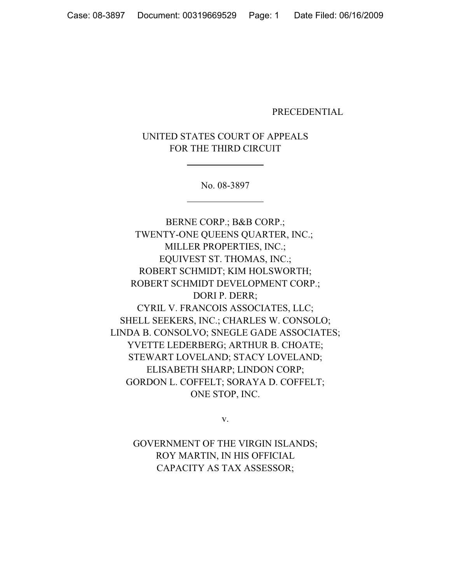### PRECEDENTIAL

UNITED STATES COURT OF APPEALS FOR THE THIRD CIRCUIT

No. 08-3897

BERNE CORP.; B&B CORP.; TWENTY-ONE QUEENS QUARTER, INC.; MILLER PROPERTIES, INC.; EQUIVEST ST. THOMAS, INC.; ROBERT SCHMIDT; KIM HOLSWORTH; ROBERT SCHMIDT DEVELOPMENT CORP.; DORI P. DERR; CYRIL V. FRANCOIS ASSOCIATES, LLC; SHELL SEEKERS, INC.; CHARLES W. CONSOLO; LINDA B. CONSOLVO; SNEGLE GADE ASSOCIATES; YVETTE LEDERBERG; ARTHUR B. CHOATE; STEWART LOVELAND; STACY LOVELAND; ELISABETH SHARP; LINDON CORP; GORDON L. COFFELT; SORAYA D. COFFELT; ONE STOP, INC.

v.

GOVERNMENT OF THE VIRGIN ISLANDS; ROY MARTIN, IN HIS OFFICIAL CAPACITY AS TAX ASSESSOR;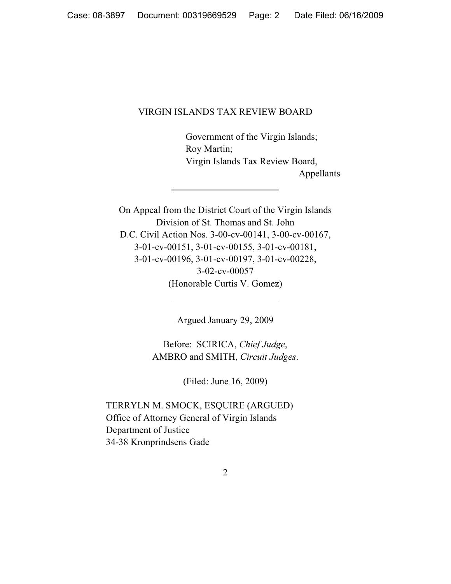# VIRGIN ISLANDS TAX REVIEW BOARD

Government of the Virgin Islands; Roy Martin; Virgin Islands Tax Review Board, Appellants

On Appeal from the District Court of the Virgin Islands Division of St. Thomas and St. John D.C. Civil Action Nos. 3-00-cv-00141, 3-00-cv-00167, 3-01-cv-00151, 3-01-cv-00155, 3-01-cv-00181, 3-01-cv-00196, 3-01-cv-00197, 3-01-cv-00228, 3-02-cv-00057 (Honorable Curtis V. Gomez)

Argued January 29, 2009

Before: SCIRICA, *Chief Judge*, AMBRO and SMITH, *Circuit Judges*.

(Filed: June 16, 2009)

TERRYLN M. SMOCK, ESQUIRE (ARGUED) Office of Attorney General of Virgin Islands Department of Justice 34-38 Kronprindsens Gade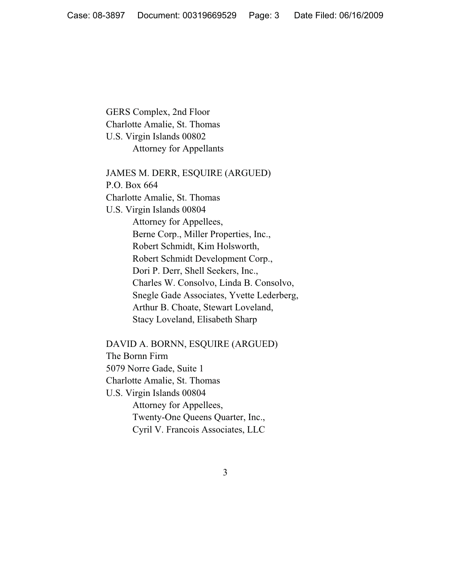GERS Complex, 2nd Floor Charlotte Amalie, St. Thomas U.S. Virgin Islands 00802 Attorney for Appellants

JAMES M. DERR, ESQUIRE (ARGUED) P.O. Box 664 Charlotte Amalie, St. Thomas U.S. Virgin Islands 00804 Attorney for Appellees, Berne Corp., Miller Properties, Inc., Robert Schmidt, Kim Holsworth, Robert Schmidt Development Corp., Dori P. Derr, Shell Seekers, Inc., Charles W. Consolvo, Linda B. Consolvo, Snegle Gade Associates, Yvette Lederberg, Arthur B. Choate, Stewart Loveland, Stacy Loveland, Elisabeth Sharp

DAVID A. BORNN, ESQUIRE (ARGUED) The Bornn Firm 5079 Norre Gade, Suite 1 Charlotte Amalie, St. Thomas U.S. Virgin Islands 00804 Attorney for Appellees, Twenty-One Queens Quarter, Inc., Cyril V. Francois Associates, LLC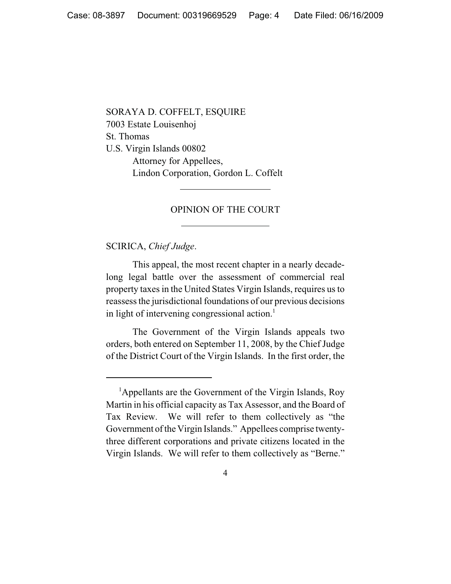SORAYA D. COFFELT, ESQUIRE 7003 Estate Louisenhoj St. Thomas U.S. Virgin Islands 00802 Attorney for Appellees, Lindon Corporation, Gordon L. Coffelt

## OPINION OF THE COURT

SCIRICA, *Chief Judge*.

This appeal, the most recent chapter in a nearly decadelong legal battle over the assessment of commercial real property taxes in the United States Virgin Islands, requires us to reassess the jurisdictional foundations of our previous decisions in light of intervening congressional action.<sup>1</sup>

The Government of the Virgin Islands appeals two orders, both entered on September 11, 2008, by the Chief Judge of the District Court of the Virgin Islands. In the first order, the

<sup>&</sup>lt;sup>1</sup>Appellants are the Government of the Virgin Islands, Roy Martin in his official capacity as Tax Assessor, and the Board of Tax Review. We will refer to them collectively as "the Government of the Virgin Islands." Appellees comprise twentythree different corporations and private citizens located in the Virgin Islands. We will refer to them collectively as "Berne."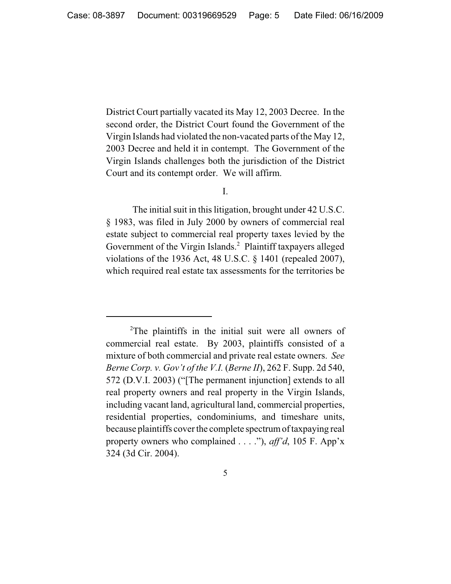District Court partially vacated its May 12, 2003 Decree. In the second order, the District Court found the Government of the Virgin Islands had violated the non-vacated parts of the May 12, 2003 Decree and held it in contempt. The Government of the Virgin Islands challenges both the jurisdiction of the District Court and its contempt order. We will affirm.

I.

The initial suit in this litigation, brought under 42 U.S.C. § 1983, was filed in July 2000 by owners of commercial real estate subject to commercial real property taxes levied by the Government of the Virgin Islands.<sup>2</sup> Plaintiff taxpayers alleged violations of the 1936 Act, 48 U.S.C. § 1401 (repealed 2007), which required real estate tax assessments for the territories be

<sup>&</sup>lt;sup>2</sup>The plaintiffs in the initial suit were all owners of commercial real estate. By 2003, plaintiffs consisted of a mixture of both commercial and private real estate owners. *See Berne Corp. v. Gov't of the V.I.* (*Berne II*), 262 F. Supp. 2d 540, 572 (D.V.I. 2003) ("[The permanent injunction] extends to all real property owners and real property in the Virgin Islands, including vacant land, agricultural land, commercial properties, residential properties, condominiums, and timeshare units, because plaintiffs cover the complete spectrum of taxpaying real property owners who complained . . . ."), *aff'd*, 105 F. App'x 324 (3d Cir. 2004).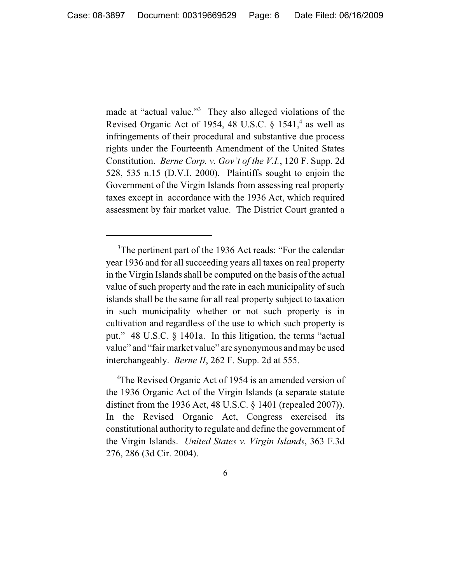made at "actual value."<sup>3</sup> They also alleged violations of the Revised Organic Act of 1954, 48 U.S.C.  $\S$  1541,<sup>4</sup> as well as infringements of their procedural and substantive due process rights under the Fourteenth Amendment of the United States Constitution. *Berne Corp. v. Gov't of the V.I.*, 120 F. Supp. 2d 528, 535 n.15 (D.V.I. 2000). Plaintiffs sought to enjoin the Government of the Virgin Islands from assessing real property taxes except in accordance with the 1936 Act, which required assessment by fair market value. The District Court granted a

4 The Revised Organic Act of 1954 is an amended version of the 1936 Organic Act of the Virgin Islands (a separate statute distinct from the 1936 Act, 48 U.S.C. § 1401 (repealed 2007)). In the Revised Organic Act, Congress exercised its constitutional authority to regulate and define the government of the Virgin Islands. *United States v. Virgin Islands*, 363 F.3d 276, 286 (3d Cir. 2004).

<sup>&</sup>lt;sup>3</sup>The pertinent part of the 1936 Act reads: "For the calendar year 1936 and for all succeeding years all taxes on real property in the Virgin Islands shall be computed on the basis of the actual value of such property and the rate in each municipality of such islands shall be the same for all real property subject to taxation in such municipality whether or not such property is in cultivation and regardless of the use to which such property is put." 48 U.S.C. § 1401a. In this litigation, the terms "actual value" and "fair market value" are synonymous and may be used interchangeably. *Berne II*, 262 F. Supp. 2d at 555.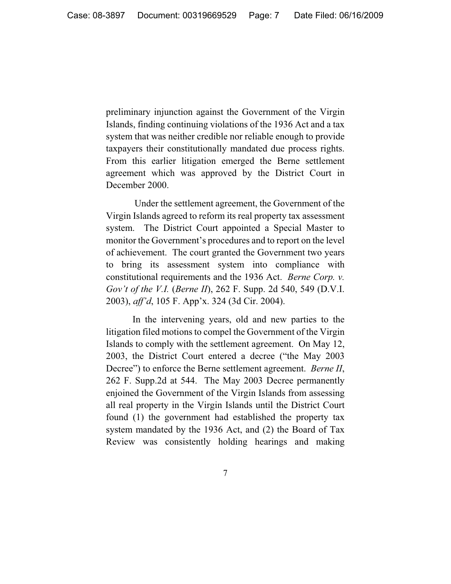preliminary injunction against the Government of the Virgin Islands, finding continuing violations of the 1936 Act and a tax system that was neither credible nor reliable enough to provide taxpayers their constitutionally mandated due process rights. From this earlier litigation emerged the Berne settlement agreement which was approved by the District Court in December 2000.

 Under the settlement agreement, the Government of the Virgin Islands agreed to reform its real property tax assessment system. The District Court appointed a Special Master to monitor the Government's procedures and to report on the level of achievement. The court granted the Government two years to bring its assessment system into compliance with constitutional requirements and the 1936 Act. *Berne Corp. v. Gov't of the V.I.* (*Berne II*), 262 F. Supp. 2d 540, 549 (D.V.I. 2003), *aff'd*, 105 F. App'x. 324 (3d Cir. 2004).

In the intervening years, old and new parties to the litigation filed motions to compel the Government of the Virgin Islands to comply with the settlement agreement. On May 12, 2003, the District Court entered a decree ("the May 2003 Decree") to enforce the Berne settlement agreement. *Berne II*, 262 F. Supp.2d at 544. The May 2003 Decree permanently enjoined the Government of the Virgin Islands from assessing all real property in the Virgin Islands until the District Court found (1) the government had established the property tax system mandated by the 1936 Act, and (2) the Board of Tax Review was consistently holding hearings and making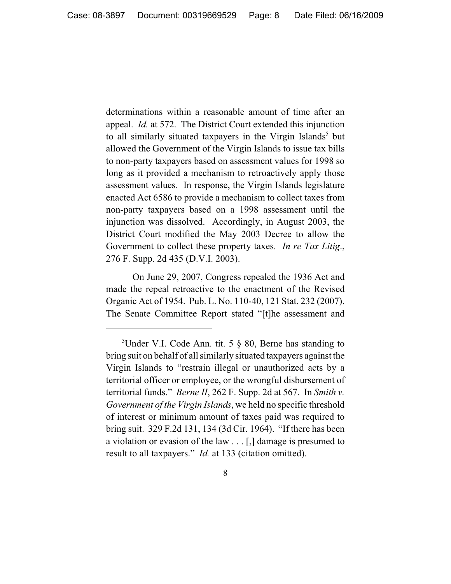determinations within a reasonable amount of time after an appeal. *Id.* at 572. The District Court extended this injunction to all similarly situated taxpayers in the Virgin Islands<sup>5</sup> but allowed the Government of the Virgin Islands to issue tax bills to non-party taxpayers based on assessment values for 1998 so long as it provided a mechanism to retroactively apply those assessment values. In response, the Virgin Islands legislature enacted Act 6586 to provide a mechanism to collect taxes from non-party taxpayers based on a 1998 assessment until the injunction was dissolved. Accordingly, in August 2003, the District Court modified the May 2003 Decree to allow the Government to collect these property taxes. *In re Tax Litig*., 276 F. Supp. 2d 435 (D.V.I. 2003).

On June 29, 2007, Congress repealed the 1936 Act and made the repeal retroactive to the enactment of the Revised Organic Act of 1954. Pub. L. No. 110-40, 121 Stat. 232 (2007). The Senate Committee Report stated "[t]he assessment and

<sup>&</sup>lt;sup>5</sup>Under V.I. Code Ann. tit. 5 § 80, Berne has standing to bring suit on behalf of all similarly situated taxpayers against the Virgin Islands to "restrain illegal or unauthorized acts by a territorial officer or employee, or the wrongful disbursement of territorial funds." *Berne II*, 262 F. Supp. 2d at 567. In *Smith v. Government of the Virgin Islands*, we held no specific threshold of interest or minimum amount of taxes paid was required to bring suit. 329 F.2d 131, 134 (3d Cir. 1964). "If there has been a violation or evasion of the law . . . [,] damage is presumed to result to all taxpayers." *Id.* at 133 (citation omitted).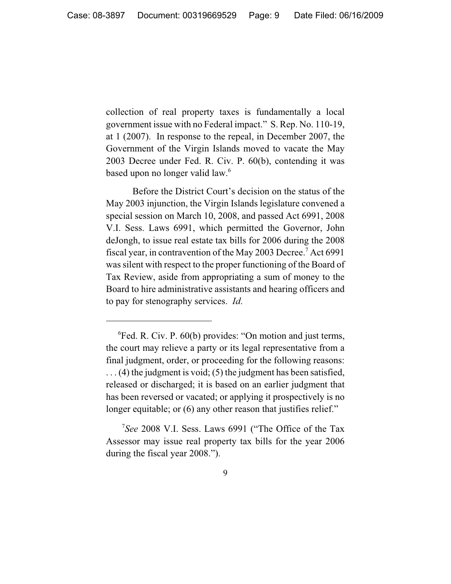collection of real property taxes is fundamentally a local government issue with no Federal impact." S. Rep. No. 110-19, at 1 (2007). In response to the repeal, in December 2007, the Government of the Virgin Islands moved to vacate the May 2003 Decree under Fed. R. Civ. P. 60(b), contending it was based upon no longer valid law.6

Before the District Court's decision on the status of the May 2003 injunction, the Virgin Islands legislature convened a special session on March 10, 2008, and passed Act 6991, 2008 V.I. Sess. Laws 6991, which permitted the Governor, John deJongh, to issue real estate tax bills for 2006 during the 2008 fiscal year, in contravention of the May 2003 Decree.<sup>7</sup> Act 6991 was silent with respect to the proper functioning of the Board of Tax Review, aside from appropriating a sum of money to the Board to hire administrative assistants and hearing officers and to pay for stenography services. *Id*.

<sup>6</sup> Fed. R. Civ. P. 60(b) provides: "On motion and just terms, the court may relieve a party or its legal representative from a final judgment, order, or proceeding for the following reasons:  $\dots$  (4) the judgment is void; (5) the judgment has been satisfied, released or discharged; it is based on an earlier judgment that has been reversed or vacated; or applying it prospectively is no longer equitable; or (6) any other reason that justifies relief."

<sup>7</sup> *See* 2008 V.I. Sess. Laws 6991 ("The Office of the Tax Assessor may issue real property tax bills for the year 2006 during the fiscal year 2008.").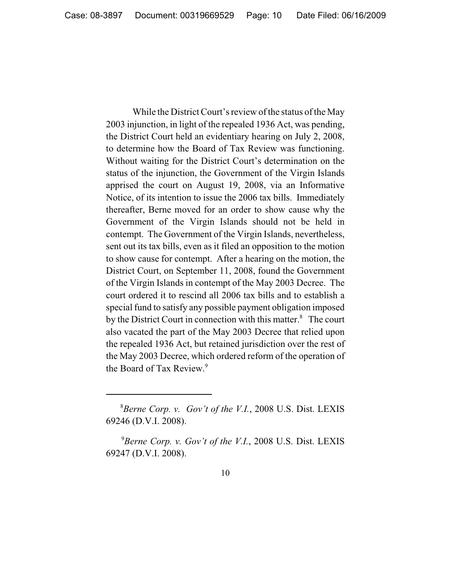While the District Court's review of the status of the May 2003 injunction, in light of the repealed 1936 Act, was pending, the District Court held an evidentiary hearing on July 2, 2008, to determine how the Board of Tax Review was functioning. Without waiting for the District Court's determination on the status of the injunction, the Government of the Virgin Islands apprised the court on August 19, 2008, via an Informative Notice, of its intention to issue the 2006 tax bills. Immediately thereafter, Berne moved for an order to show cause why the Government of the Virgin Islands should not be held in contempt. The Government of the Virgin Islands, nevertheless, sent out its tax bills, even as it filed an opposition to the motion to show cause for contempt. After a hearing on the motion, the District Court, on September 11, 2008, found the Government of the Virgin Islands in contempt of the May 2003 Decree. The court ordered it to rescind all 2006 tax bills and to establish a special fund to satisfy any possible payment obligation imposed by the District Court in connection with this matter.<sup>8</sup> The court also vacated the part of the May 2003 Decree that relied upon the repealed 1936 Act, but retained jurisdiction over the rest of the May 2003 Decree, which ordered reform of the operation of the Board of Tax Review.<sup>9</sup>

<sup>8</sup> *Berne Corp. v. Gov't of the V.I.*, 2008 U.S. Dist. LEXIS 69246 (D.V.I. 2008).

<sup>9</sup> *Berne Corp. v. Gov't of the V.I.*, 2008 U.S. Dist. LEXIS 69247 (D.V.I. 2008).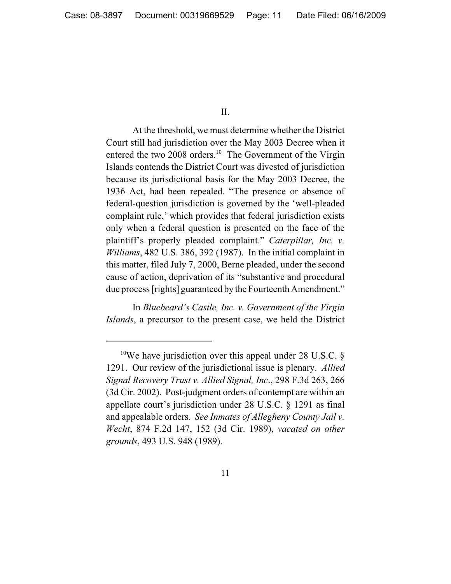II.

At the threshold, we must determine whether the District Court still had jurisdiction over the May 2003 Decree when it entered the two 2008 orders. $10$  The Government of the Virgin Islands contends the District Court was divested of jurisdiction because its jurisdictional basis for the May 2003 Decree, the 1936 Act, had been repealed. "The presence or absence of federal-question jurisdiction is governed by the 'well-pleaded complaint rule,' which provides that federal jurisdiction exists only when a federal question is presented on the face of the plaintiff's properly pleaded complaint." *Caterpillar, Inc. v. Williams*, 482 U.S. 386, 392 (1987). In the initial complaint in this matter, filed July 7, 2000, Berne pleaded, under the second cause of action, deprivation of its "substantive and procedural due process [rights] guaranteed by the Fourteenth Amendment."

In *Bluebeard's Castle, Inc. v. Government of the Virgin Islands*, a precursor to the present case, we held the District

<sup>&</sup>lt;sup>10</sup>We have jurisdiction over this appeal under 28 U.S.C.  $\S$ 1291. Our review of the jurisdictional issue is plenary. *Allied Signal Recovery Trust v. Allied Signal, Inc*., 298 F.3d 263, 266 (3d Cir. 2002). Post-judgment orders of contempt are within an appellate court's jurisdiction under 28 U.S.C. § 1291 as final and appealable orders. *See Inmates of Allegheny County Jail v. Wecht*, 874 F.2d 147, 152 (3d Cir. 1989), *vacated on other grounds*, 493 U.S. 948 (1989).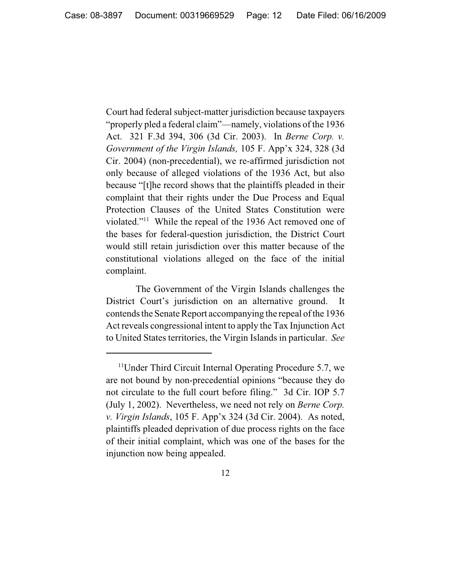Court had federal subject-matter jurisdiction because taxpayers "properly pled a federal claim"—namely, violations of the 1936 Act. 321 F.3d 394, 306 (3d Cir. 2003). In *Berne Corp. v. Government of the Virgin Islands,* 105 F. App'x 324, 328 (3d Cir. 2004) (non-precedential), we re-affirmed jurisdiction not only because of alleged violations of the 1936 Act, but also because "[t]he record shows that the plaintiffs pleaded in their complaint that their rights under the Due Process and Equal Protection Clauses of the United States Constitution were violated."11 While the repeal of the 1936 Act removed one of the bases for federal-question jurisdiction, the District Court would still retain jurisdiction over this matter because of the constitutional violations alleged on the face of the initial complaint.

 The Government of the Virgin Islands challenges the District Court's jurisdiction on an alternative ground. It contends the Senate Report accompanying the repeal of the 1936 Act reveals congressional intent to apply the Tax Injunction Act to United States territories, the Virgin Islands in particular. *See*

<sup>&</sup>lt;sup>11</sup>Under Third Circuit Internal Operating Procedure 5.7, we are not bound by non-precedential opinions "because they do not circulate to the full court before filing." 3d Cir. IOP 5.7 (July 1, 2002). Nevertheless, we need not rely on *Berne Corp. v. Virgin Islands*, 105 F. App'x 324 (3d Cir. 2004). As noted, plaintiffs pleaded deprivation of due process rights on the face of their initial complaint, which was one of the bases for the injunction now being appealed.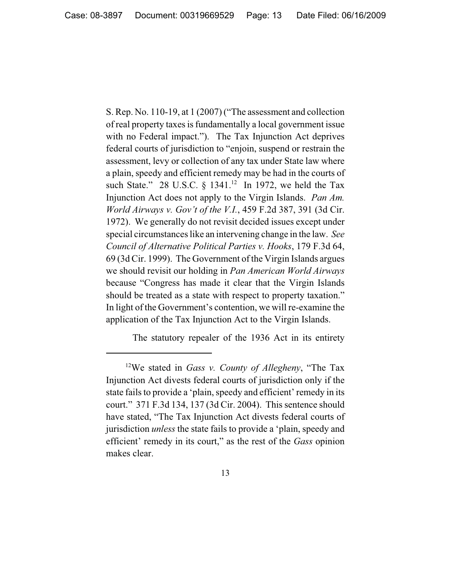S. Rep. No. 110-19, at 1 (2007) ("The assessment and collection of real property taxes is fundamentally a local government issue with no Federal impact."). The Tax Injunction Act deprives federal courts of jurisdiction to "enjoin, suspend or restrain the assessment, levy or collection of any tax under State law where a plain, speedy and efficient remedy may be had in the courts of such State." 28 U.S.C.  $\S$  1341.<sup>12</sup> In 1972, we held the Tax Injunction Act does not apply to the Virgin Islands. *Pan Am. World Airways v. Gov't of the V.I.*, 459 F.2d 387, 391 (3d Cir. 1972). We generally do not revisit decided issues except under special circumstances like an intervening change in the law. *See Council of Alternative Political Parties v. Hooks*, 179 F.3d 64, 69 (3d Cir. 1999). The Government of the Virgin Islands argues we should revisit our holding in *Pan American World Airways* because "Congress has made it clear that the Virgin Islands should be treated as a state with respect to property taxation." In light of the Government's contention, we will re-examine the application of the Tax Injunction Act to the Virgin Islands.

The statutory repealer of the 1936 Act in its entirety

<sup>12</sup>We stated in *Gass v. County of Allegheny*, "The Tax Injunction Act divests federal courts of jurisdiction only if the state fails to provide a 'plain, speedy and efficient' remedy in its court." 371 F.3d 134, 137 (3d Cir. 2004). This sentence should have stated, "The Tax Injunction Act divests federal courts of jurisdiction *unless* the state fails to provide a 'plain, speedy and efficient' remedy in its court," as the rest of the *Gass* opinion makes clear.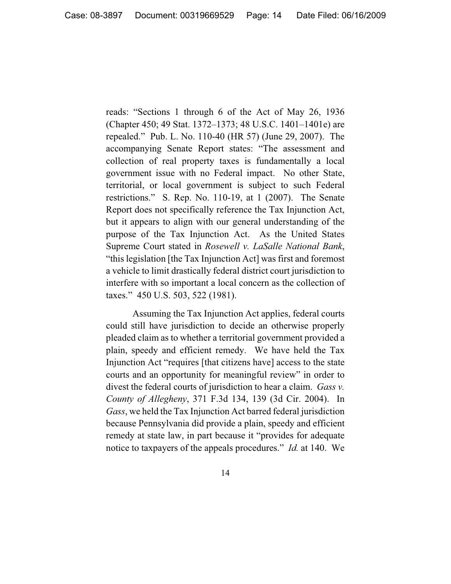reads: "Sections 1 through 6 of the Act of May 26, 1936 (Chapter 450; 49 Stat. 1372–1373; 48 U.S.C. 1401–1401e) are repealed." Pub. L. No. 110-40 (HR 57) (June 29, 2007). The accompanying Senate Report states: "The assessment and collection of real property taxes is fundamentally a local government issue with no Federal impact. No other State, territorial, or local government is subject to such Federal restrictions." S. Rep. No. 110-19, at 1 (2007). The Senate Report does not specifically reference the Tax Injunction Act, but it appears to align with our general understanding of the purpose of the Tax Injunction Act. As the United States Supreme Court stated in *Rosewell v. LaSalle National Bank*, "this legislation [the Tax Injunction Act] was first and foremost a vehicle to limit drastically federal district court jurisdiction to interfere with so important a local concern as the collection of taxes." 450 U.S. 503, 522 (1981).

Assuming the Tax Injunction Act applies, federal courts could still have jurisdiction to decide an otherwise properly pleaded claim as to whether a territorial government provided a plain, speedy and efficient remedy. We have held the Tax Injunction Act "requires [that citizens have] access to the state courts and an opportunity for meaningful review" in order to divest the federal courts of jurisdiction to hear a claim. *Gass v. County of Allegheny*, 371 F.3d 134, 139 (3d Cir. 2004). In *Gass*, we held the Tax Injunction Act barred federal jurisdiction because Pennsylvania did provide a plain, speedy and efficient remedy at state law, in part because it "provides for adequate notice to taxpayers of the appeals procedures." *Id.* at 140. We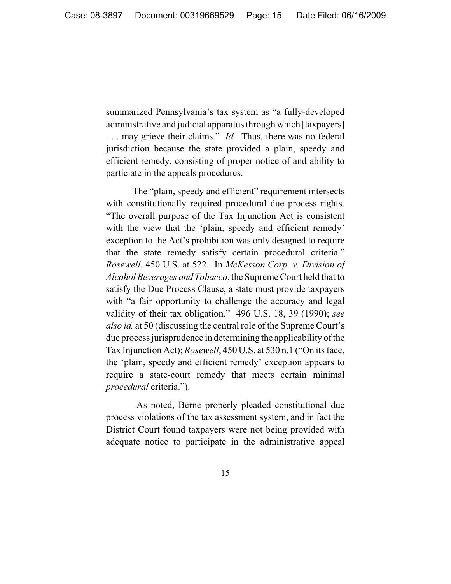summarized Pennsylvania's tax system as "a fully-developed administrative and judicial apparatus through which [taxpayers] . . . may grieve their claims." *Id.* Thus, there was no federal jurisdiction because the state provided a plain, speedy and efficient remedy, consisting of proper notice of and ability to particiate in the appeals procedures.

The "plain, speedy and efficient" requirement intersects with constitutionally required procedural due process rights. "The overall purpose of the Tax Injunction Act is consistent with the view that the 'plain, speedy and efficient remedy' exception to the Act's prohibition was only designed to require that the state remedy satisfy certain procedural criteria." *Rosewell*, 450 U.S. at 522. In *McKesson Corp. v. Division of Alcohol Beverages and Tobacco*, the Supreme Court held that to satisfy the Due Process Clause, a state must provide taxpayers with "a fair opportunity to challenge the accuracy and legal validity of their tax obligation." 496 U.S. 18, 39 (1990); *see also id.* at 50 (discussing the central role of the Supreme Court's due process jurisprudence in determining the applicability of the Tax Injunction Act); *Rosewell*, 450 U.S. at 530 n.1 ("On its face, the 'plain, speedy and efficient remedy' exception appears to require a state-court remedy that meets certain minimal *procedural* criteria.").

 As noted, Berne properly pleaded constitutional due process violations of the tax assessment system, and in fact the District Court found taxpayers were not being provided with adequate notice to participate in the administrative appeal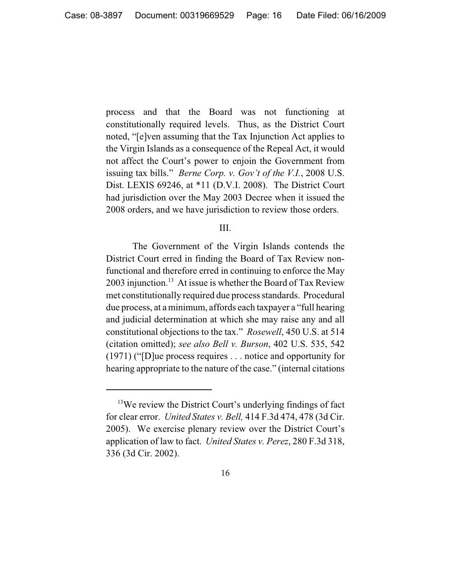process and that the Board was not functioning at constitutionally required levels. Thus, as the District Court noted, "[e]ven assuming that the Tax Injunction Act applies to the Virgin Islands as a consequence of the Repeal Act, it would not affect the Court's power to enjoin the Government from issuing tax bills." *Berne Corp. v. Gov't of the V.I.*, 2008 U.S. Dist. LEXIS 69246, at \*11 (D.V.I. 2008). The District Court had jurisdiction over the May 2003 Decree when it issued the 2008 orders, and we have jurisdiction to review those orders.

### III.

The Government of the Virgin Islands contends the District Court erred in finding the Board of Tax Review nonfunctional and therefore erred in continuing to enforce the May 2003 injunction.<sup>13</sup> At issue is whether the Board of Tax Review met constitutionally required due process standards. Procedural due process, at a minimum, affords each taxpayer a "full hearing and judicial determination at which she may raise any and all constitutional objections to the tax." *Rosewell*, 450 U.S. at 514 (citation omitted); *see also Bell v. Burson*, 402 U.S. 535, 542 (1971) ("[D]ue process requires . . . notice and opportunity for hearing appropriate to the nature of the case." (internal citations

<sup>&</sup>lt;sup>13</sup>We review the District Court's underlying findings of fact for clear error. *United States v. Bell,* 414 F.3d 474, 478 (3d Cir. 2005). We exercise plenary review over the District Court's application of law to fact. *United States v. Perez*, 280 F.3d 318, 336 (3d Cir. 2002).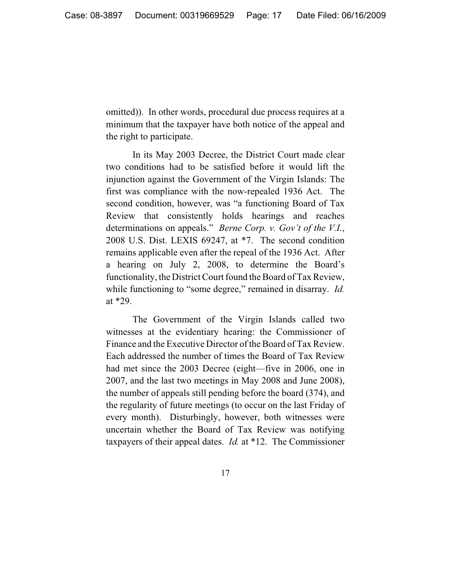omitted)). In other words, procedural due process requires at a minimum that the taxpayer have both notice of the appeal and the right to participate.

In its May 2003 Decree, the District Court made clear two conditions had to be satisfied before it would lift the injunction against the Government of the Virgin Islands: The first was compliance with the now-repealed 1936 Act. The second condition, however, was "a functioning Board of Tax Review that consistently holds hearings and reaches determinations on appeals." *Berne Corp. v. Gov't of the V.I.*, 2008 U.S. Dist. LEXIS 69247, at \*7. The second condition remains applicable even after the repeal of the 1936 Act. After a hearing on July 2, 2008, to determine the Board's functionality, the District Court found the Board of Tax Review, while functioning to "some degree," remained in disarray. *Id.* at \*29.

The Government of the Virgin Islands called two witnesses at the evidentiary hearing: the Commissioner of Finance and the Executive Director of the Board of Tax Review. Each addressed the number of times the Board of Tax Review had met since the 2003 Decree (eight—five in 2006, one in 2007, and the last two meetings in May 2008 and June 2008), the number of appeals still pending before the board (374), and the regularity of future meetings (to occur on the last Friday of every month). Disturbingly, however, both witnesses were uncertain whether the Board of Tax Review was notifying taxpayers of their appeal dates. *Id.* at \*12. The Commissioner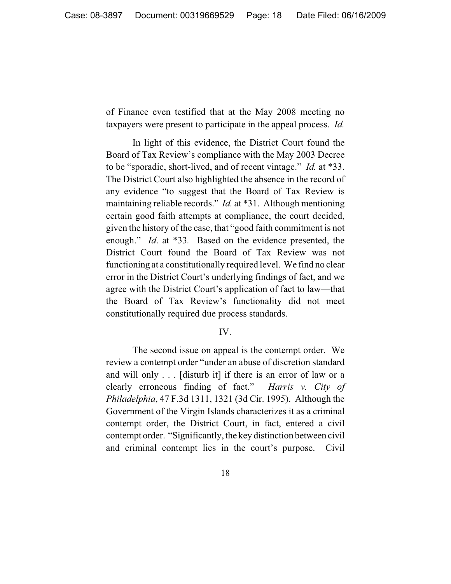of Finance even testified that at the May 2008 meeting no taxpayers were present to participate in the appeal process. *Id.*

In light of this evidence, the District Court found the Board of Tax Review's compliance with the May 2003 Decree to be "sporadic, short-lived, and of recent vintage." *Id.* at \*33. The District Court also highlighted the absence in the record of any evidence "to suggest that the Board of Tax Review is maintaining reliable records." *Id.* at \*31. Although mentioning certain good faith attempts at compliance, the court decided, given the history of the case, that "good faith commitment is not enough." *Id*. at \*33*.* Based on the evidence presented, the District Court found the Board of Tax Review was not functioning at a constitutionally required level. We find no clear error in the District Court's underlying findings of fact, and we agree with the District Court's application of fact to law—that the Board of Tax Review's functionality did not meet constitutionally required due process standards.

#### IV.

The second issue on appeal is the contempt order. We review a contempt order "under an abuse of discretion standard and will only . . . [disturb it] if there is an error of law or a clearly erroneous finding of fact." *Harris v. City of Philadelphia*, 47 F.3d 1311, 1321 (3d Cir. 1995). Although the Government of the Virgin Islands characterizes it as a criminal contempt order, the District Court, in fact, entered a civil contempt order. "Significantly, the key distinction between civil and criminal contempt lies in the court's purpose. Civil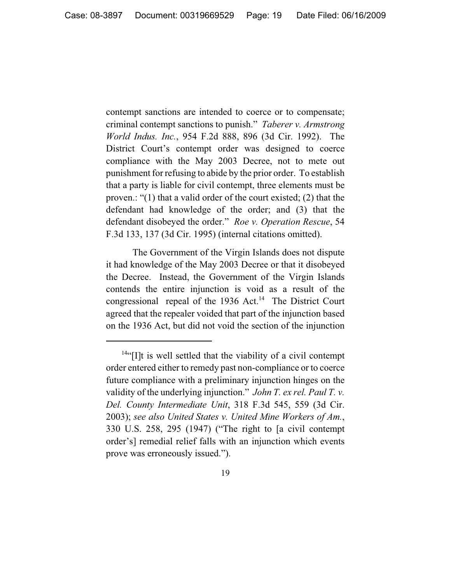contempt sanctions are intended to coerce or to compensate; criminal contempt sanctions to punish." *Taberer v. Armstrong World Indus. Inc.*, 954 F.2d 888, 896 (3d Cir. 1992). The District Court's contempt order was designed to coerce compliance with the May 2003 Decree, not to mete out punishment for refusing to abide by the prior order. To establish that a party is liable for civil contempt, three elements must be proven.: "(1) that a valid order of the court existed; (2) that the defendant had knowledge of the order; and (3) that the defendant disobeyed the order." *Roe v. Operation Rescue*, 54 F.3d 133, 137 (3d Cir. 1995) (internal citations omitted).

The Government of the Virgin Islands does not dispute it had knowledge of the May 2003 Decree or that it disobeyed the Decree. Instead, the Government of the Virgin Islands contends the entire injunction is void as a result of the congressional repeal of the  $1936$  Act.<sup>14</sup> The District Court agreed that the repealer voided that part of the injunction based on the 1936 Act, but did not void the section of the injunction

 $14$ "[I]t is well settled that the viability of a civil contempt order entered either to remedy past non-compliance or to coerce future compliance with a preliminary injunction hinges on the validity of the underlying injunction." *John T. ex rel. Paul T. v. Del. County Intermediate Unit*, 318 F.3d 545, 559 (3d Cir. 2003); *see also United States v. United Mine Workers of Am.*, 330 U.S. 258, 295 (1947) ("The right to [a civil contempt order's] remedial relief falls with an injunction which events prove was erroneously issued.").